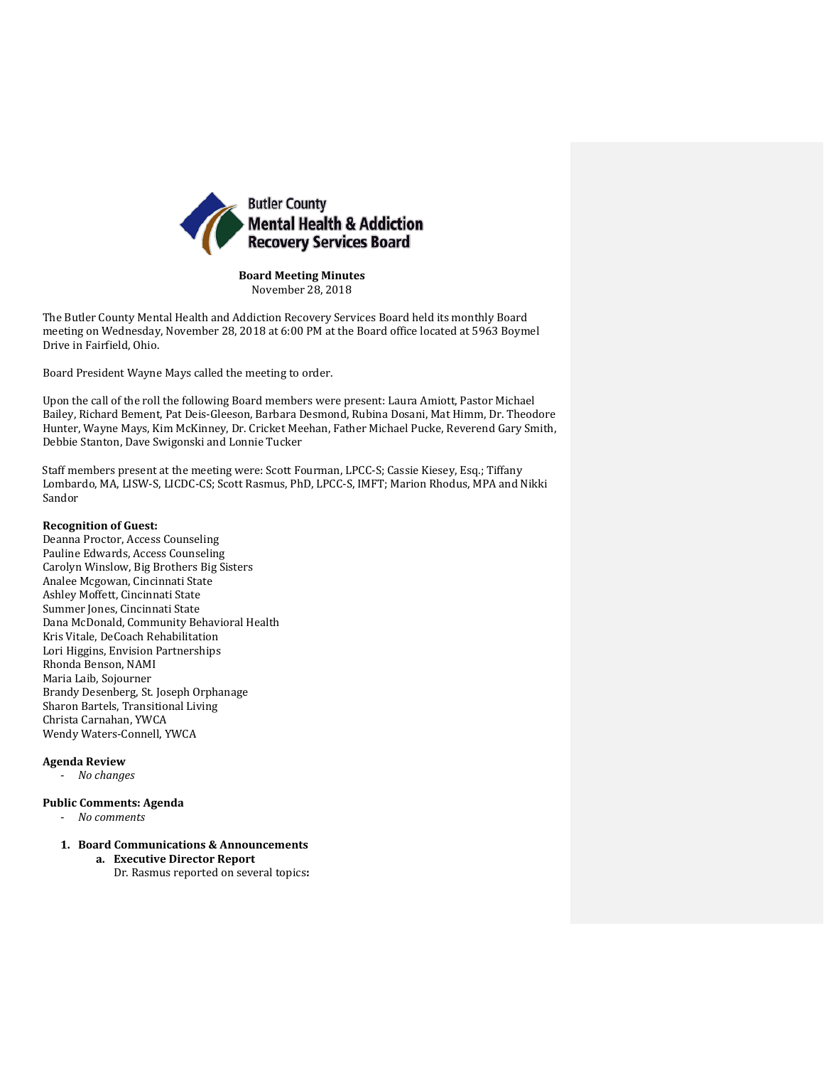

**Board Meeting Minutes** November 28, 2018

The Butler County Mental Health and Addiction Recovery Services Board held its monthly Board meeting on Wednesday, November 28, 2018 at 6:00 PM at the Board office located at 5963 Boymel Drive in Fairfield, Ohio.

Board President Wayne Mays called the meeting to order.

Upon the call of the roll the following Board members were present: Laura Amiott, Pastor Michael Bailey, Richard Bement, Pat Deis-Gleeson, Barbara Desmond, Rubina Dosani, Mat Himm, Dr. Theodore Hunter, Wayne Mays, Kim McKinney, Dr. Cricket Meehan, Father Michael Pucke, Reverend Gary Smith, Debbie Stanton, Dave Swigonski and Lonnie Tucker

Staff members present at the meeting were: Scott Fourman, LPCC-S; Cassie Kiesey, Esq.; Tiffany Lombardo, MA, LISW-S, LICDC-CS; Scott Rasmus, PhD, LPCC-S, IMFT; Marion Rhodus, MPA and Nikki Sandor

## **Recognition of Guest:**

Deanna Proctor, Access Counseling Pauline Edwards, Access Counseling Carolyn Winslow, Big Brothers Big Sisters Analee Mcgowan, Cincinnati State Ashley Moffett, Cincinnati State Summer Jones, Cincinnati State Dana McDonald, Community Behavioral Health Kris Vitale, DeCoach Rehabilitation Lori Higgins, Envision Partnerships Rhonda Benson, NAMI Maria Laib, Sojourner Brandy Desenberg, St. Joseph Orphanage Sharon Bartels, Transitional Living Christa Carnahan, YWCA Wendy Waters-Connell, YWCA

### **Agenda Review**

- *No changes*

## **Public Comments: Agenda**

- *No comments*

# **1. Board Communications & Announcements**

**a. Executive Director Report** Dr. Rasmus reported on several topics**:**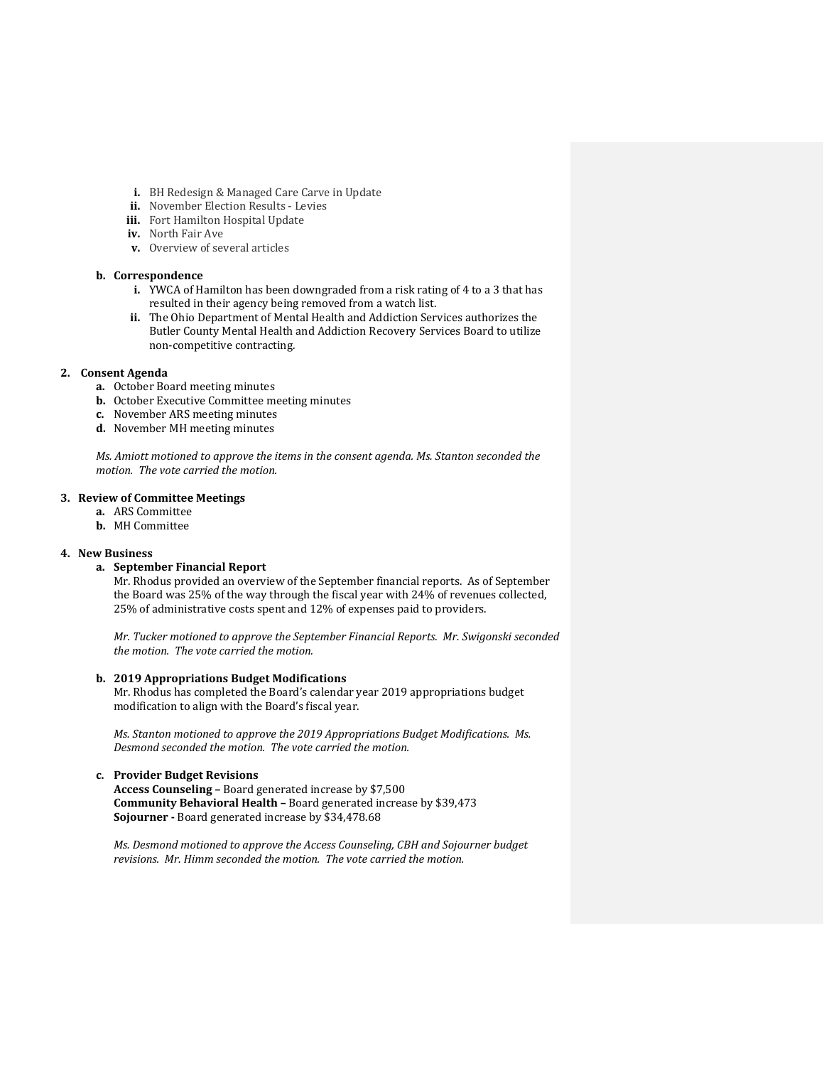- **i.** BH Redesign & Managed Care Carve in Update
- **ii.** November Election Results Levies
- **iii.** Fort Hamilton Hospital Update
- **iv.** North Fair Ave
- **v.** Overview of several articles

## **b. Correspondence**

- **i.** YWCA of Hamilton has been downgraded from a risk rating of 4 to a 3 that has resulted in their agency being removed from a watch list.
- **ii.** The Ohio Department of Mental Health and Addiction Services authorizes the Butler County Mental Health and Addiction Recovery Services Board to utilize non-competitive contracting.

### **2. Consent Agenda**

- **a.** October Board meeting minutes
- **b.** October Executive Committee meeting minutes
- **c.** November ARS meeting minutes
- **d.** November MH meeting minutes

*Ms. Amiott motioned to approve the items in the consent agenda. Ms. Stanton seconded the motion. The vote carried the motion.*

## **3. Review of Committee Meetings**

- **a.** ARS Committee
- **b.** MH Committee

### **4. New Business**

### **a. September Financial Report**

Mr. Rhodus provided an overview of the September financial reports. As of September the Board was 25% of the way through the fiscal year with 24% of revenues collected, 25% of administrative costs spent and 12% of expenses paid to providers.

*Mr. Tucker motioned to approve the September Financial Reports. Mr. Swigonski seconded the motion. The vote carried the motion.*

### **b. 2019 Appropriations Budget Modifications**

Mr. Rhodus has completed the Board's calendar year 2019 appropriations budget modification to align with the Board's fiscal year.

*Ms. Stanton motioned to approve the 2019 Appropriations Budget Modifications. Ms. Desmond seconded the motion. The vote carried the motion.*

## **c. Provider Budget Revisions**

**Access Counseling –** Board generated increase by \$7,500 **Community Behavioral Health –** Board generated increase by \$39,473 **Sojourner -** Board generated increase by \$34,478.68

*Ms. Desmond motioned to approve the Access Counseling, CBH and Sojourner budget revisions. Mr. Himm seconded the motion. The vote carried the motion.*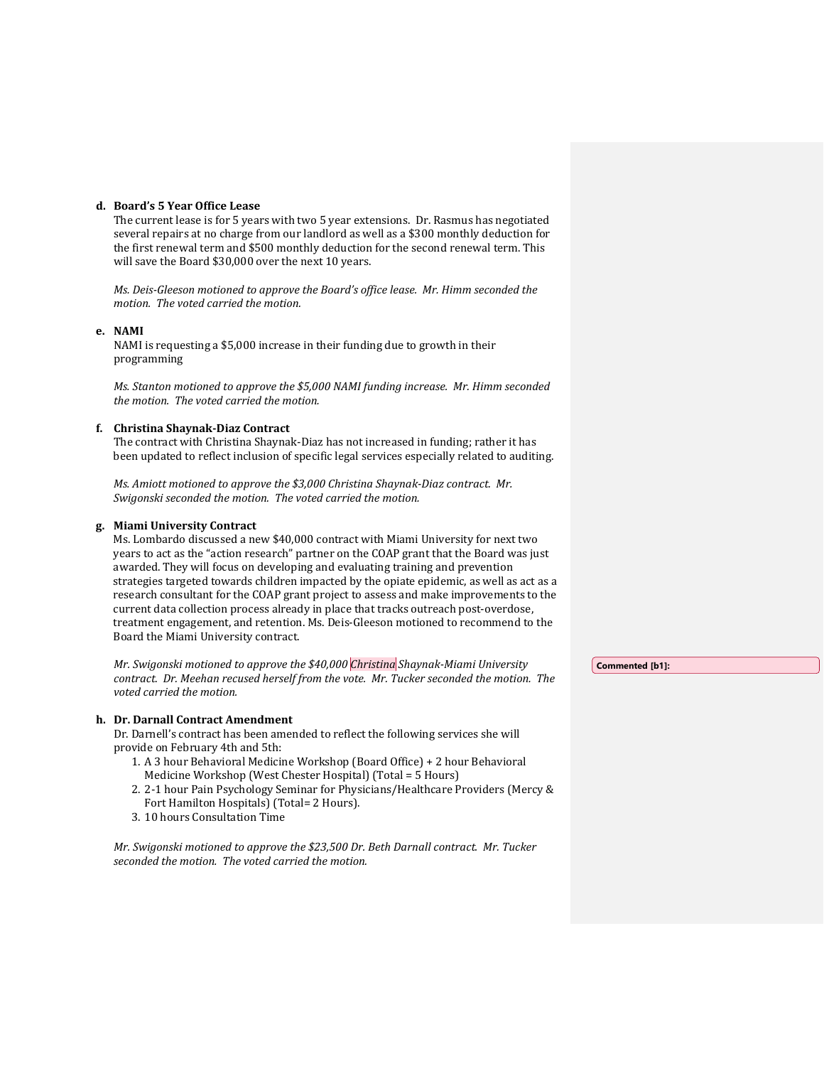## **d. Board's 5 Year Office Lease**

The current lease is for 5 years with two 5 year extensions. Dr. Rasmus has negotiated several repairs at no charge from our landlord as well as a \$300 monthly deduction for the first renewal term and \$500 monthly deduction for the second renewal term. This will save the Board \$30,000 over the next 10 years.

*Ms. Deis-Gleeson motioned to approve the Board's office lease. Mr. Himm seconded the motion. The voted carried the motion.*

## **e. NAMI**

NAMI is requesting a \$5,000 increase in their funding due to growth in their programming

*Ms. Stanton motioned to approve the \$5,000 NAMI funding increase. Mr. Himm seconded the motion. The voted carried the motion.*

## **f. Christina Shaynak-Diaz Contract**

The contract with Christina Shaynak-Diaz has not increased in funding; rather it has been updated to reflect inclusion of specific legal services especially related to auditing.

*Ms. Amiott motioned to approve the \$3,000 Christina Shaynak-Diaz contract. Mr. Swigonski seconded the motion. The voted carried the motion.*

## **g. Miami University Contract**

Ms. Lombardo discussed a new \$40,000 contract with Miami University for next two years to act as the "action research" partner on the COAP grant that the Board was just awarded. They will focus on developing and evaluating training and prevention strategies targeted towards children impacted by the opiate epidemic, as well as act as a research consultant for the COAP grant project to assess and make improvements to the current data collection process already in place that tracks outreach post-overdose, treatment engagement, and retention. Ms. Deis-Gleeson motioned to recommend to the Board the Miami University contract.

*Mr. Swigonski motioned to approve the \$40,000 Christina Shaynak-Miami University contract. Dr. Meehan recused herself from the vote. Mr. Tucker seconded the motion. The voted carried the motion.*

## **h. Dr. Darnall Contract Amendment**

Dr. Darnell's contract has been amended to reflect the following services she will provide on February 4th and 5th:

- 1. A 3 hour Behavioral Medicine Workshop (Board Office) + 2 hour Behavioral Medicine Workshop (West Chester Hospital) (Total = 5 Hours)
- 2. 2-1 hour Pain Psychology Seminar for Physicians/Healthcare Providers (Mercy & Fort Hamilton Hospitals) (Total= 2 Hours).
- 3. 10 hours Consultation Time

*Mr. Swigonski motioned to approve the \$23,500 Dr. Beth Darnall contract. Mr. Tucker seconded the motion. The voted carried the motion.*

**Commented [b1]:**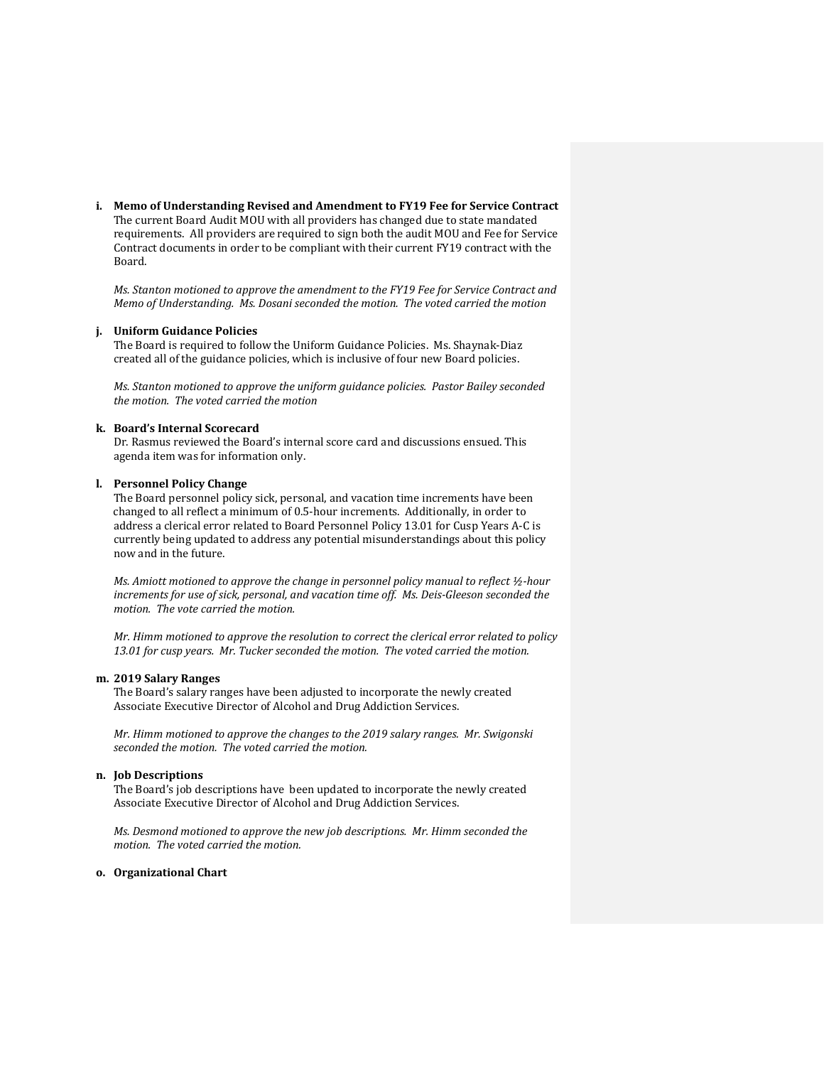**i. Memo of Understanding Revised and Amendment to FY19 Fee for Service Contract** The current Board Audit MOU with all providers has changed due to state mandated requirements. All providers are required to sign both the audit MOU and Fee for Service Contract documents in order to be compliant with their current FY19 contract with the Board.

*Ms. Stanton motioned to approve the amendment to the FY19 Fee for Service Contract and Memo of Understanding. Ms. Dosani seconded the motion. The voted carried the motion*

## **j. Uniform Guidance Policies**

The Board is required to follow the Uniform Guidance Policies. Ms. Shaynak-Diaz created all of the guidance policies, which is inclusive of four new Board policies.

*Ms. Stanton motioned to approve the uniform guidance policies. Pastor Bailey seconded the motion. The voted carried the motion*

## **k. Board's Internal Scorecard**

Dr. Rasmus reviewed the Board's internal score card and discussions ensued. This agenda item was for information only.

## **l. Personnel Policy Change**

The Board personnel policy sick, personal, and vacation time increments have been changed to all reflect a minimum of 0.5-hour increments. Additionally, in order to address a clerical error related to Board Personnel Policy 13.01 for Cusp Years A-C is currently being updated to address any potential misunderstandings about this policy now and in the future.

*Ms. Amiott motioned to approve the change in personnel policy manual to reflect ½-hour increments for use of sick, personal, and vacation time off. Ms. Deis-Gleeson seconded the motion. The vote carried the motion.*

*Mr. Himm motioned to approve the resolution to correct the clerical error related to policy 13.01 for cusp years. Mr. Tucker seconded the motion. The voted carried the motion.*

#### **m. 2019 Salary Ranges**

The Board's salary ranges have been adjusted to incorporate the newly created Associate Executive Director of Alcohol and Drug Addiction Services.

*Mr. Himm motioned to approve the changes to the 2019 salary ranges. Mr. Swigonski seconded the motion. The voted carried the motion.*

## **n. Job Descriptions**

The Board's job descriptions have been updated to incorporate the newly created Associate Executive Director of Alcohol and Drug Addiction Services.

*Ms. Desmond motioned to approve the new job descriptions. Mr. Himm seconded the motion. The voted carried the motion.*

### **o. Organizational Chart**